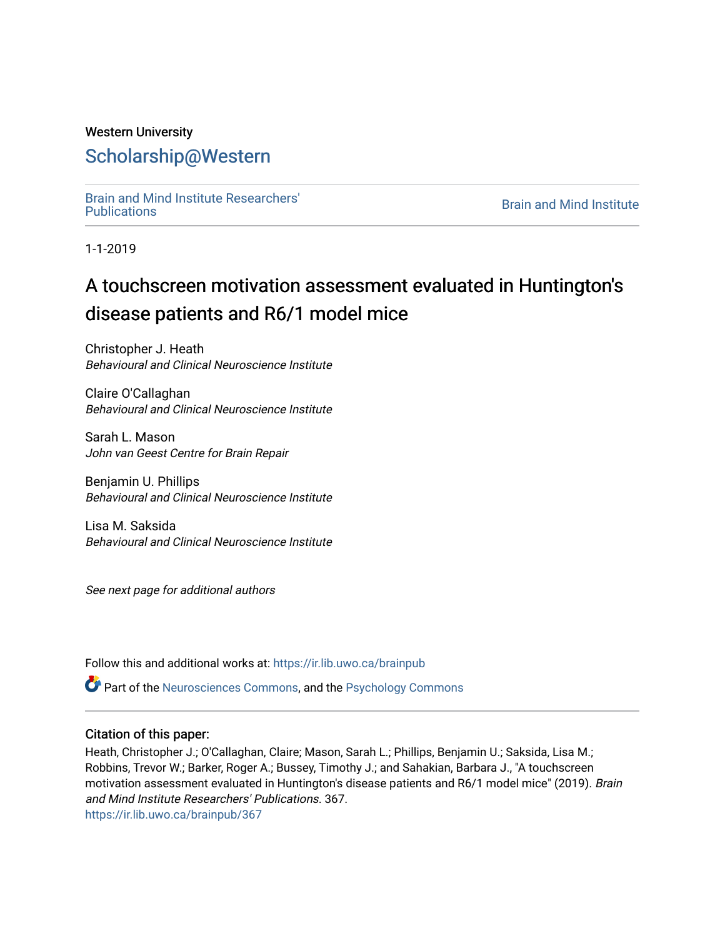# Western University [Scholarship@Western](https://ir.lib.uwo.ca/)

[Brain and Mind Institute Researchers'](https://ir.lib.uwo.ca/brainpub) 

**Brain and Mind Institute** 

1-1-2019

# A touchscreen motivation assessment evaluated in Huntington's disease patients and R6/1 model mice

Christopher J. Heath Behavioural and Clinical Neuroscience Institute

Claire O'Callaghan Behavioural and Clinical Neuroscience Institute

Sarah L. Mason John van Geest Centre for Brain Repair

Benjamin U. Phillips Behavioural and Clinical Neuroscience Institute

Lisa M. Saksida Behavioural and Clinical Neuroscience Institute

See next page for additional authors

Follow this and additional works at: [https://ir.lib.uwo.ca/brainpub](https://ir.lib.uwo.ca/brainpub?utm_source=ir.lib.uwo.ca%2Fbrainpub%2F367&utm_medium=PDF&utm_campaign=PDFCoverPages)

Part of the [Neurosciences Commons](http://network.bepress.com/hgg/discipline/1010?utm_source=ir.lib.uwo.ca%2Fbrainpub%2F367&utm_medium=PDF&utm_campaign=PDFCoverPages), and the [Psychology Commons](http://network.bepress.com/hgg/discipline/404?utm_source=ir.lib.uwo.ca%2Fbrainpub%2F367&utm_medium=PDF&utm_campaign=PDFCoverPages) 

#### Citation of this paper:

Heath, Christopher J.; O'Callaghan, Claire; Mason, Sarah L.; Phillips, Benjamin U.; Saksida, Lisa M.; Robbins, Trevor W.; Barker, Roger A.; Bussey, Timothy J.; and Sahakian, Barbara J., "A touchscreen motivation assessment evaluated in Huntington's disease patients and R6/1 model mice" (2019). Brain and Mind Institute Researchers' Publications. 367. [https://ir.lib.uwo.ca/brainpub/367](https://ir.lib.uwo.ca/brainpub/367?utm_source=ir.lib.uwo.ca%2Fbrainpub%2F367&utm_medium=PDF&utm_campaign=PDFCoverPages)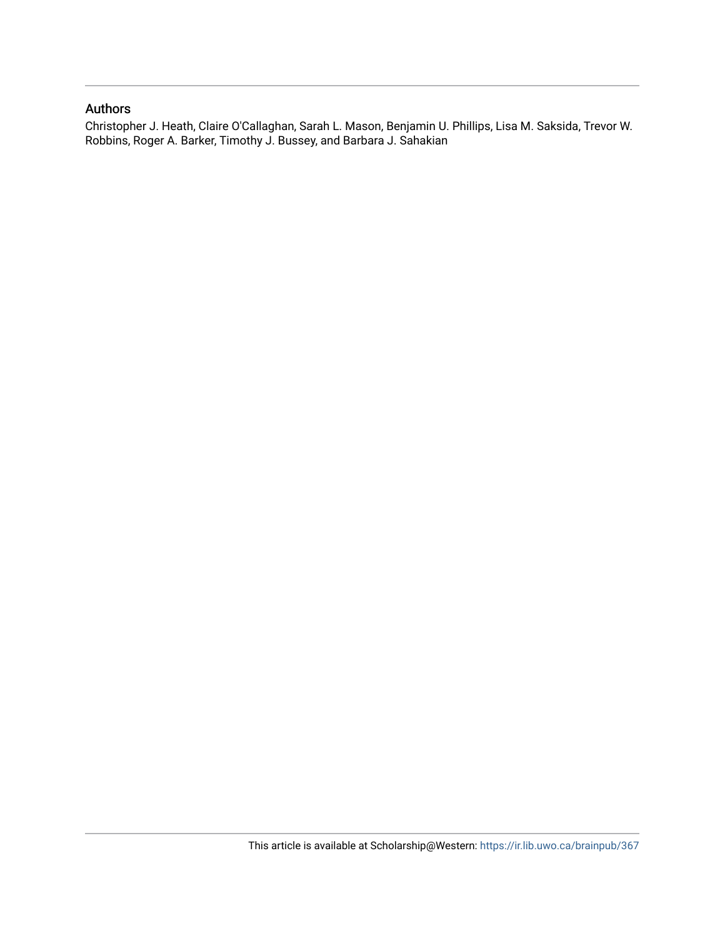#### Authors

Christopher J. Heath, Claire O'Callaghan, Sarah L. Mason, Benjamin U. Phillips, Lisa M. Saksida, Trevor W. Robbins, Roger A. Barker, Timothy J. Bussey, and Barbara J. Sahakian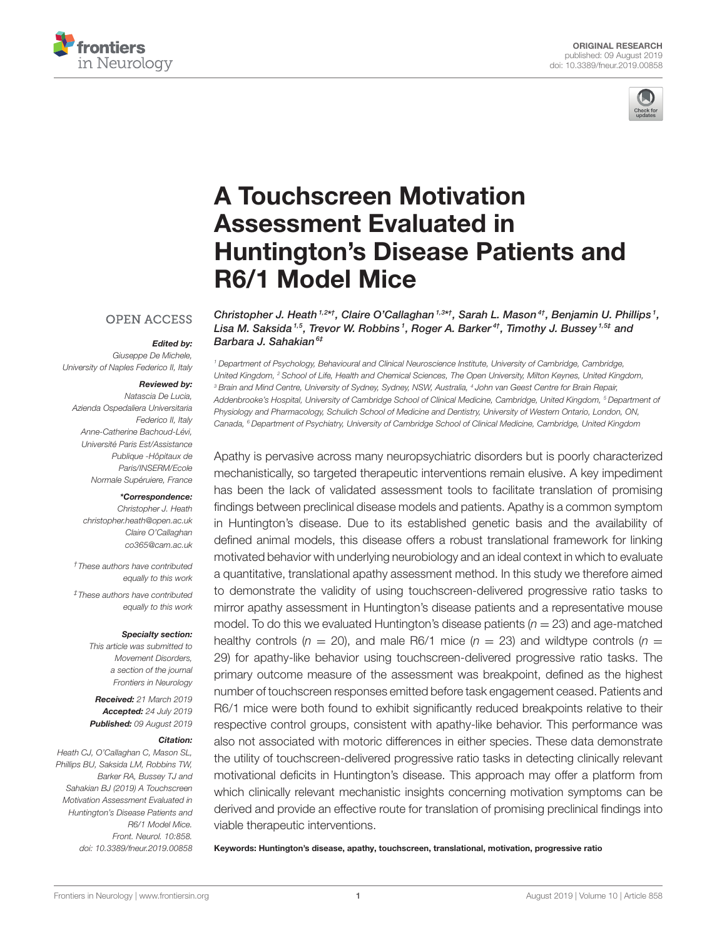



# A Touchscreen Motivation Assessment Evaluated in [Huntington's Disease Patients and](https://www.frontiersin.org/articles/10.3389/fneur.2019.00858/full) R6/1 Model Mice

#### [Christopher J. Heath](http://loop.frontiersin.org/people/342500/overview)<sup>1,2\*†</sup>, [Claire O'Callaghan](http://loop.frontiersin.org/people/112310/overview)<sup>1,3\*†</sup>, [Sarah L. Mason](http://loop.frontiersin.org/people/657231/overview)<sup>4†</sup>, [Benjamin U. Phillips](http://loop.frontiersin.org/people/206800/overview)<sup>1</sup>, [Lisa M. Saksida](http://loop.frontiersin.org/people/1304/overview)<sup>1,5</sup>, [Trevor W. Robbins](http://loop.frontiersin.org/people/11094/overview)<sup>1</sup>, [Roger A. Barker](http://loop.frontiersin.org/people/33495/overview)<sup>4†</sup>, [Timothy J. Bussey](http://loop.frontiersin.org/people/733424/overview)<sup>1,5‡</sup> and [Barbara J. Sahakian](http://loop.frontiersin.org/people/666513/overview)<sup>6‡</sup>

<sup>1</sup> Department of Psychology, Behavioural and Clinical Neuroscience Institute, University of Cambridge, Cambridge, United Kingdom, <sup>2</sup> School of Life, Health and Chemical Sciences, The Open University, Milton Keynes, United Kingdom, <sup>3</sup> Brain and Mind Centre, University of Sydney, Sydney, NSW, Australia, <sup>4</sup> John van Geest Centre for Brain Repair, Addenbrooke's Hospital, University of Cambridge School of Clinical Medicine, Cambridge, United Kingdom, <sup>5</sup> Department of Physiology and Pharmacology, Schulich School of Medicine and Dentistry, University of Western Ontario, London, ON, Canada, <sup>6</sup> Department of Psychiatry, University of Cambridge School of Clinical Medicine, Cambridge, United Kingdom

Apathy is pervasive across many neuropsychiatric disorders but is poorly characterized mechanistically, so targeted therapeutic interventions remain elusive. A key impediment has been the lack of validated assessment tools to facilitate translation of promising findings between preclinical disease models and patients. Apathy is a common symptom in Huntington's disease. Due to its established genetic basis and the availability of defined animal models, this disease offers a robust translational framework for linking motivated behavior with underlying neurobiology and an ideal context in which to evaluate a quantitative, translational apathy assessment method. In this study we therefore aimed to demonstrate the validity of using touchscreen-delivered progressive ratio tasks to mirror apathy assessment in Huntington's disease patients and a representative mouse model. To do this we evaluated Huntington's disease patients ( $n = 23$ ) and age-matched healthy controls ( $n = 20$ ), and male R6/1 mice ( $n = 23$ ) and wildtype controls ( $n =$ 29) for apathy-like behavior using touchscreen-delivered progressive ratio tasks. The primary outcome measure of the assessment was breakpoint, defined as the highest number of touchscreen responses emitted before task engagement ceased. Patients and R6/1 mice were both found to exhibit significantly reduced breakpoints relative to their respective control groups, consistent with apathy-like behavior. This performance was also not associated with motoric differences in either species. These data demonstrate the utility of touchscreen-delivered progressive ratio tasks in detecting clinically relevant motivational deficits in Huntington's disease. This approach may offer a platform from which clinically relevant mechanistic insights concerning motivation symptoms can be derived and provide an effective route for translation of promising preclinical findings into viable therapeutic interventions.

Keywords: Huntington's disease, apathy, touchscreen, translational, motivation, progressive ratio

#### **OPEN ACCESS**

#### Edited by:

Giuseppe De Michele, University of Naples Federico II, Italy

#### Reviewed by:

Natascia De Lucia, Azienda Ospedaliera Universitaria Federico II, Italy Anne-Catherine Bachoud-Lévi, Université Paris Est/Assistance Publique -Hôpitaux de Paris/INSERM/Ecole Normale Supéruiere, France

#### \*Correspondence:

Christopher J. Heath [christopher.heath@open.ac.uk](mailto:christopher.heath@open.ac.uk) Claire O'Callaghan [co365@cam.ac.uk](mailto:co365@cam.ac.uk)

†These authors have contributed equally to this work ‡These authors have contributed equally to this work

#### Specialty section:

This article was submitted to Movement Disorders, a section of the journal Frontiers in Neurology

Received: 21 March 2019 Accepted: 24 July 2019 Published: 09 August 2019

#### Citation:

Heath CJ, O'Callaghan C, Mason SL, Phillips BU, Saksida LM, Robbins TW, Barker RA, Bussey TJ and Sahakian BJ (2019) A Touchscreen Motivation Assessment Evaluated in Huntington's Disease Patients and R6/1 Model Mice. Front. Neurol. 10:858. doi: [10.3389/fneur.2019.00858](https://doi.org/10.3389/fneur.2019.00858)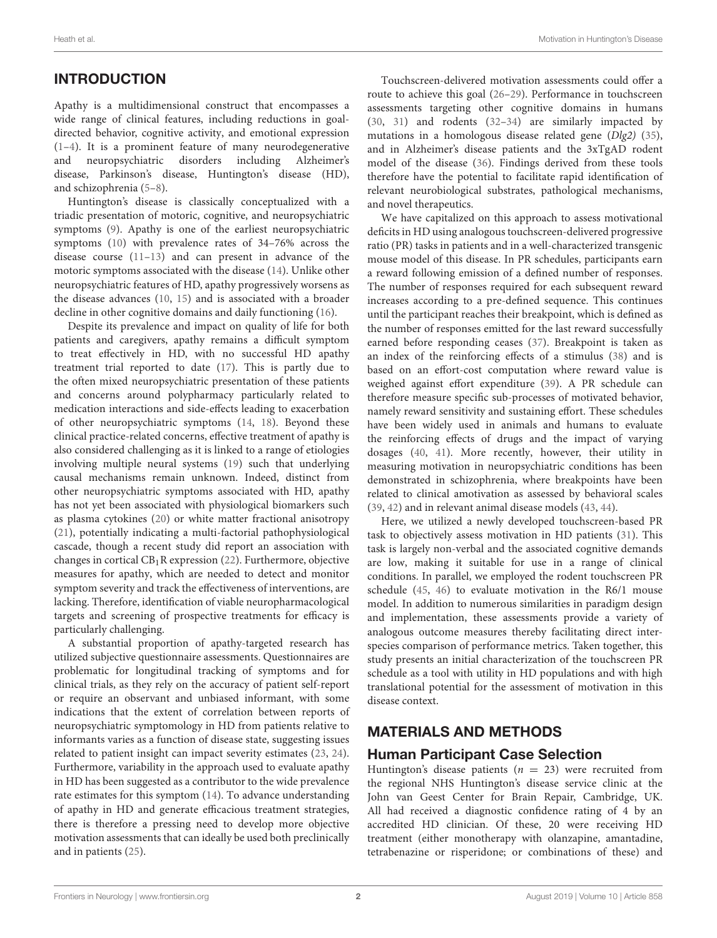# INTRODUCTION

Apathy is a multidimensional construct that encompasses a wide range of clinical features, including reductions in goaldirected behavior, cognitive activity, and emotional expression [\(1–](#page-10-0)[4\)](#page-10-1). It is a prominent feature of many neurodegenerative and neuropsychiatric disorders including Alzheimer's disease, Parkinson's disease, Huntington's disease (HD), and schizophrenia [\(5](#page-10-2)[–8\)](#page-10-3).

Huntington's disease is classically conceptualized with a triadic presentation of motoric, cognitive, and neuropsychiatric symptoms [\(9\)](#page-10-4). Apathy is one of the earliest neuropsychiatric symptoms [\(10\)](#page-10-5) with prevalence rates of 34–76% across the disease course [\(11–](#page-10-6)[13\)](#page-10-7) and can present in advance of the motoric symptoms associated with the disease [\(14\)](#page-10-8). Unlike other neuropsychiatric features of HD, apathy progressively worsens as the disease advances [\(10,](#page-10-5) [15\)](#page-10-9) and is associated with a broader decline in other cognitive domains and daily functioning [\(16\)](#page-10-10).

Despite its prevalence and impact on quality of life for both patients and caregivers, apathy remains a difficult symptom to treat effectively in HD, with no successful HD apathy treatment trial reported to date [\(17\)](#page-10-11). This is partly due to the often mixed neuropsychiatric presentation of these patients and concerns around polypharmacy particularly related to medication interactions and side-effects leading to exacerbation of other neuropsychiatric symptoms [\(14,](#page-10-8) [18\)](#page-10-12). Beyond these clinical practice-related concerns, effective treatment of apathy is also considered challenging as it is linked to a range of etiologies involving multiple neural systems [\(19\)](#page-10-13) such that underlying causal mechanisms remain unknown. Indeed, distinct from other neuropsychiatric symptoms associated with HD, apathy has not yet been associated with physiological biomarkers such as plasma cytokines [\(20\)](#page-10-14) or white matter fractional anisotropy [\(21\)](#page-10-15), potentially indicating a multi-factorial pathophysiological cascade, though a recent study did report an association with changes in cortical  $CB_1R$  expression [\(22\)](#page-10-16). Furthermore, objective measures for apathy, which are needed to detect and monitor symptom severity and track the effectiveness of interventions, are lacking. Therefore, identification of viable neuropharmacological targets and screening of prospective treatments for efficacy is particularly challenging.

A substantial proportion of apathy-targeted research has utilized subjective questionnaire assessments. Questionnaires are problematic for longitudinal tracking of symptoms and for clinical trials, as they rely on the accuracy of patient self-report or require an observant and unbiased informant, with some indications that the extent of correlation between reports of neuropsychiatric symptomology in HD from patients relative to informants varies as a function of disease state, suggesting issues related to patient insight can impact severity estimates [\(23,](#page-10-17) [24\)](#page-10-18). Furthermore, variability in the approach used to evaluate apathy in HD has been suggested as a contributor to the wide prevalence rate estimates for this symptom [\(14\)](#page-10-8). To advance understanding of apathy in HD and generate efficacious treatment strategies, there is therefore a pressing need to develop more objective motivation assessments that can ideally be used both preclinically and in patients [\(25\)](#page-10-19).

Touchscreen-delivered motivation assessments could offer a route to achieve this goal [\(26–](#page-10-20)[29\)](#page-10-21). Performance in touchscreen assessments targeting other cognitive domains in humans [\(30,](#page-10-22) [31\)](#page-10-23) and rodents [\(32–](#page-10-24)[34\)](#page-11-0) are similarly impacted by mutations in a homologous disease related gene (Dlg2) [\(35\)](#page-11-1), and in Alzheimer's disease patients and the 3xTgAD rodent model of the disease [\(36\)](#page-11-2). Findings derived from these tools therefore have the potential to facilitate rapid identification of relevant neurobiological substrates, pathological mechanisms, and novel therapeutics.

We have capitalized on this approach to assess motivational deficits in HD using analogous touchscreen-delivered progressive ratio (PR) tasks in patients and in a well-characterized transgenic mouse model of this disease. In PR schedules, participants earn a reward following emission of a defined number of responses. The number of responses required for each subsequent reward increases according to a pre-defined sequence. This continues until the participant reaches their breakpoint, which is defined as the number of responses emitted for the last reward successfully earned before responding ceases [\(37\)](#page-11-3). Breakpoint is taken as an index of the reinforcing effects of a stimulus [\(38\)](#page-11-4) and is based on an effort-cost computation where reward value is weighed against effort expenditure [\(39\)](#page-11-5). A PR schedule can therefore measure specific sub-processes of motivated behavior, namely reward sensitivity and sustaining effort. These schedules have been widely used in animals and humans to evaluate the reinforcing effects of drugs and the impact of varying dosages [\(40,](#page-11-6) [41\)](#page-11-7). More recently, however, their utility in measuring motivation in neuropsychiatric conditions has been demonstrated in schizophrenia, where breakpoints have been related to clinical amotivation as assessed by behavioral scales [\(39,](#page-11-5) [42\)](#page-11-8) and in relevant animal disease models [\(43,](#page-11-9) [44\)](#page-11-10).

Here, we utilized a newly developed touchscreen-based PR task to objectively assess motivation in HD patients [\(31\)](#page-10-23). This task is largely non-verbal and the associated cognitive demands are low, making it suitable for use in a range of clinical conditions. In parallel, we employed the rodent touchscreen PR schedule [\(45,](#page-11-11) [46\)](#page-11-12) to evaluate motivation in the R6/1 mouse model. In addition to numerous similarities in paradigm design and implementation, these assessments provide a variety of analogous outcome measures thereby facilitating direct interspecies comparison of performance metrics. Taken together, this study presents an initial characterization of the touchscreen PR schedule as a tool with utility in HD populations and with high translational potential for the assessment of motivation in this disease context.

## MATERIALS AND METHODS

#### Human Participant Case Selection

Huntington's disease patients ( $n = 23$ ) were recruited from the regional NHS Huntington's disease service clinic at the John van Geest Center for Brain Repair, Cambridge, UK. All had received a diagnostic confidence rating of 4 by an accredited HD clinician. Of these, 20 were receiving HD treatment (either monotherapy with olanzapine, amantadine, tetrabenazine or risperidone; or combinations of these) and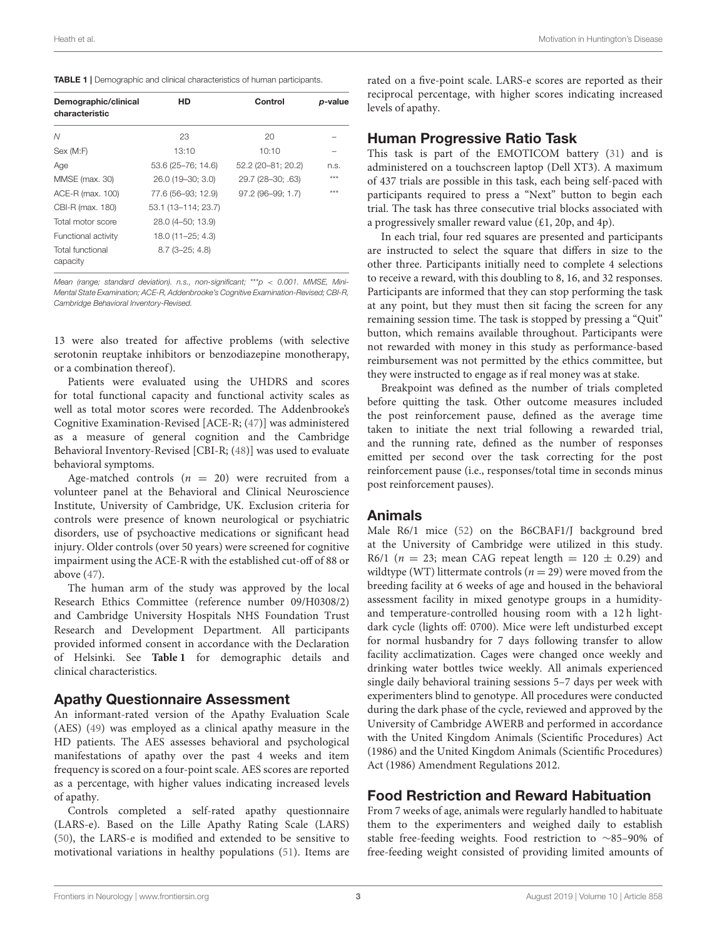<span id="page-4-0"></span>TABLE 1 | Demographic and clinical characteristics of human participants.

| Demographic/clinical<br>characteristic | HD                  | Control            | <i>p</i> -value |
|----------------------------------------|---------------------|--------------------|-----------------|
| N                                      | 23                  | 20                 |                 |
| Sex (M:F)                              | 13:10               | 10:10              |                 |
| Age                                    | 53.6 (25-76; 14.6)  | 52.2 (20-81; 20.2) | n.s.            |
| MMSE (max. 30)                         | 26.0 (19 - 30; 3.0) | 29.7 (28-30; .63)  | ***             |
| ACE-R (max. 100)                       | 77.6 (56-93; 12.9)  | 97.2 (96-99; 1.7)  | ***             |
| CBI-R (max. 180)                       | 53.1 (13-114; 23.7) |                    |                 |
| Total motor score                      | 28.0 (4-50; 13.9)   |                    |                 |
| Functional activity                    | 18.0 (11-25; 4.3)   |                    |                 |
| Total functional<br>capacity           | $8.7$ (3-25; 4.8)   |                    |                 |

Mean (range; standard deviation). n.s., non-significant; \*\*\*p < 0.001. MMSE, Mini-Mental State Examination; ACE-R, Addenbrooke's Cognitive Examination-Revised; CBI-R, Cambridge Behavioral Inventory-Revised.

13 were also treated for affective problems (with selective serotonin reuptake inhibitors or benzodiazepine monotherapy, or a combination thereof).

Patients were evaluated using the UHDRS and scores for total functional capacity and functional activity scales as well as total motor scores were recorded. The Addenbrooke's Cognitive Examination-Revised [ACE-R; [\(47\)](#page-11-13)] was administered as a measure of general cognition and the Cambridge Behavioral Inventory-Revised [CBI-R; [\(48\)](#page-11-14)] was used to evaluate behavioral symptoms.

Age-matched controls  $(n = 20)$  were recruited from a volunteer panel at the Behavioral and Clinical Neuroscience Institute, University of Cambridge, UK. Exclusion criteria for controls were presence of known neurological or psychiatric disorders, use of psychoactive medications or significant head injury. Older controls (over 50 years) were screened for cognitive impairment using the ACE-R with the established cut-off of 88 or above [\(47\)](#page-11-13).

The human arm of the study was approved by the local Research Ethics Committee (reference number 09/H0308/2) and Cambridge University Hospitals NHS Foundation Trust Research and Development Department. All participants provided informed consent in accordance with the Declaration of Helsinki. See **[Table 1](#page-4-0)** for demographic details and clinical characteristics.

#### Apathy Questionnaire Assessment

An informant-rated version of the Apathy Evaluation Scale (AES) [\(49\)](#page-11-15) was employed as a clinical apathy measure in the HD patients. The AES assesses behavioral and psychological manifestations of apathy over the past 4 weeks and item frequency is scored on a four-point scale. AES scores are reported as a percentage, with higher values indicating increased levels of apathy.

Controls completed a self-rated apathy questionnaire (LARS-e). Based on the Lille Apathy Rating Scale (LARS) [\(50\)](#page-11-16), the LARS-e is modified and extended to be sensitive to motivational variations in healthy populations [\(51\)](#page-11-17). Items are rated on a five-point scale. LARS-e scores are reported as their reciprocal percentage, with higher scores indicating increased levels of apathy.

#### Human Progressive Ratio Task

This task is part of the EMOTICOM battery [\(31\)](#page-10-23) and is administered on a touchscreen laptop (Dell XT3). A maximum of 437 trials are possible in this task, each being self-paced with participants required to press a "Next" button to begin each trial. The task has three consecutive trial blocks associated with a progressively smaller reward value (£1, 20p, and 4p).

In each trial, four red squares are presented and participants are instructed to select the square that differs in size to the other three. Participants initially need to complete 4 selections to receive a reward, with this doubling to 8, 16, and 32 responses. Participants are informed that they can stop performing the task at any point, but they must then sit facing the screen for any remaining session time. The task is stopped by pressing a "Quit" button, which remains available throughout. Participants were not rewarded with money in this study as performance-based reimbursement was not permitted by the ethics committee, but they were instructed to engage as if real money was at stake.

Breakpoint was defined as the number of trials completed before quitting the task. Other outcome measures included the post reinforcement pause, defined as the average time taken to initiate the next trial following a rewarded trial, and the running rate, defined as the number of responses emitted per second over the task correcting for the post reinforcement pause (i.e., responses/total time in seconds minus post reinforcement pauses).

#### Animals

Male R6/1 mice [\(52\)](#page-11-18) on the B6CBAF1/J background bred at the University of Cambridge were utilized in this study. R6/1 ( $n = 23$ ; mean CAG repeat length = 120  $\pm$  0.29) and wildtype (WT) littermate controls ( $n = 29$ ) were moved from the breeding facility at 6 weeks of age and housed in the behavioral assessment facility in mixed genotype groups in a humidityand temperature-controlled housing room with a 12 h lightdark cycle (lights off: 0700). Mice were left undisturbed except for normal husbandry for 7 days following transfer to allow facility acclimatization. Cages were changed once weekly and drinking water bottles twice weekly. All animals experienced single daily behavioral training sessions 5–7 days per week with experimenters blind to genotype. All procedures were conducted during the dark phase of the cycle, reviewed and approved by the University of Cambridge AWERB and performed in accordance with the United Kingdom Animals (Scientific Procedures) Act (1986) and the United Kingdom Animals (Scientific Procedures) Act (1986) Amendment Regulations 2012.

## Food Restriction and Reward Habituation

From 7 weeks of age, animals were regularly handled to habituate them to the experimenters and weighed daily to establish stable free-feeding weights. Food restriction to ∼85–90% of free-feeding weight consisted of providing limited amounts of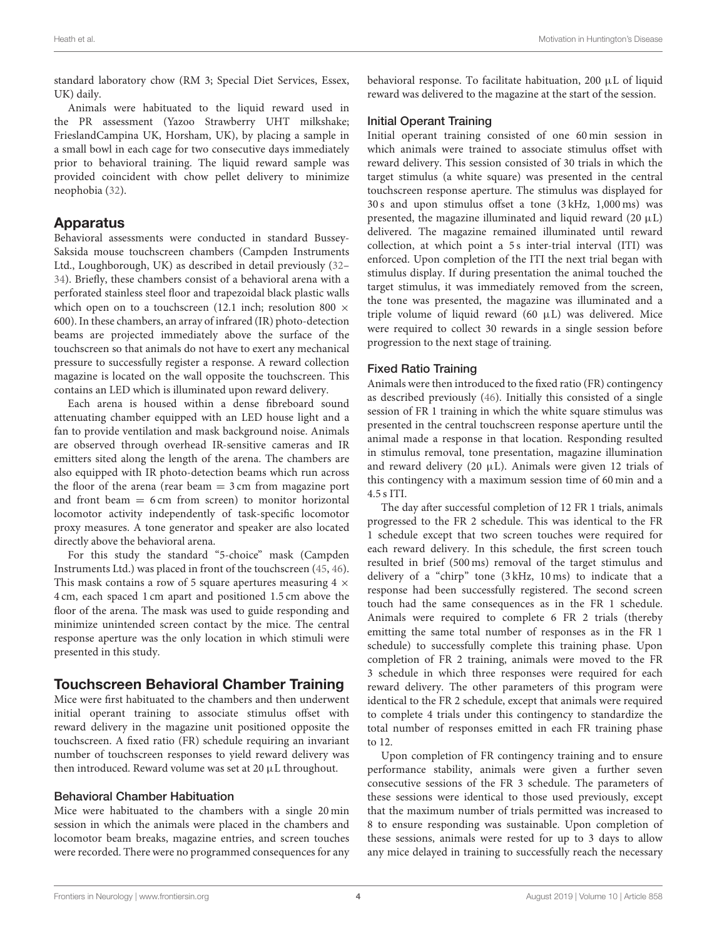standard laboratory chow (RM 3; Special Diet Services, Essex, UK) daily.

Animals were habituated to the liquid reward used in the PR assessment (Yazoo Strawberry UHT milkshake; FrieslandCampina UK, Horsham, UK), by placing a sample in a small bowl in each cage for two consecutive days immediately prior to behavioral training. The liquid reward sample was provided coincident with chow pellet delivery to minimize neophobia [\(32\)](#page-10-24).

#### Apparatus

Behavioral assessments were conducted in standard Bussey-Saksida mouse touchscreen chambers (Campden Instruments Ltd., Loughborough, UK) as described in detail previously [\(32–](#page-10-24) [34\)](#page-11-0). Briefly, these chambers consist of a behavioral arena with a perforated stainless steel floor and trapezoidal black plastic walls which open on to a touchscreen (12.1 inch; resolution 800  $\times$ 600). In these chambers, an array of infrared (IR) photo-detection beams are projected immediately above the surface of the touchscreen so that animals do not have to exert any mechanical pressure to successfully register a response. A reward collection magazine is located on the wall opposite the touchscreen. This contains an LED which is illuminated upon reward delivery.

Each arena is housed within a dense fibreboard sound attenuating chamber equipped with an LED house light and a fan to provide ventilation and mask background noise. Animals are observed through overhead IR-sensitive cameras and IR emitters sited along the length of the arena. The chambers are also equipped with IR photo-detection beams which run across the floor of the arena (rear beam  $=$  3 cm from magazine port and front beam  $= 6 \text{ cm}$  from screen) to monitor horizontal locomotor activity independently of task-specific locomotor proxy measures. A tone generator and speaker are also located directly above the behavioral arena.

For this study the standard "5-choice" mask (Campden Instruments Ltd.) was placed in front of the touchscreen [\(45,](#page-11-11) [46\)](#page-11-12). This mask contains a row of 5 square apertures measuring  $4 \times$ 4 cm, each spaced 1 cm apart and positioned 1.5 cm above the floor of the arena. The mask was used to guide responding and minimize unintended screen contact by the mice. The central response aperture was the only location in which stimuli were presented in this study.

#### Touchscreen Behavioral Chamber Training

Mice were first habituated to the chambers and then underwent initial operant training to associate stimulus offset with reward delivery in the magazine unit positioned opposite the touchscreen. A fixed ratio (FR) schedule requiring an invariant number of touchscreen responses to yield reward delivery was then introduced. Reward volume was set at 20 µL throughout.

#### Behavioral Chamber Habituation

Mice were habituated to the chambers with a single 20 min session in which the animals were placed in the chambers and locomotor beam breaks, magazine entries, and screen touches were recorded. There were no programmed consequences for any behavioral response. To facilitate habituation, 200 µL of liquid reward was delivered to the magazine at the start of the session.

#### Initial Operant Training

Initial operant training consisted of one 60 min session in which animals were trained to associate stimulus offset with reward delivery. This session consisted of 30 trials in which the target stimulus (a white square) was presented in the central touchscreen response aperture. The stimulus was displayed for 30 s and upon stimulus offset a tone (3 kHz, 1,000 ms) was presented, the magazine illuminated and liquid reward  $(20 \mu L)$ delivered. The magazine remained illuminated until reward collection, at which point a 5s inter-trial interval (ITI) was enforced. Upon completion of the ITI the next trial began with stimulus display. If during presentation the animal touched the target stimulus, it was immediately removed from the screen, the tone was presented, the magazine was illuminated and a triple volume of liquid reward (60  $\mu$ L) was delivered. Mice were required to collect 30 rewards in a single session before progression to the next stage of training.

#### Fixed Ratio Training

Animals were then introduced to the fixed ratio (FR) contingency as described previously [\(46\)](#page-11-12). Initially this consisted of a single session of FR 1 training in which the white square stimulus was presented in the central touchscreen response aperture until the animal made a response in that location. Responding resulted in stimulus removal, tone presentation, magazine illumination and reward delivery (20  $\mu$ L). Animals were given 12 trials of this contingency with a maximum session time of 60 min and a 4.5 s ITI.

The day after successful completion of 12 FR 1 trials, animals progressed to the FR 2 schedule. This was identical to the FR 1 schedule except that two screen touches were required for each reward delivery. In this schedule, the first screen touch resulted in brief (500 ms) removal of the target stimulus and delivery of a "chirp" tone (3 kHz, 10 ms) to indicate that a response had been successfully registered. The second screen touch had the same consequences as in the FR 1 schedule. Animals were required to complete 6 FR 2 trials (thereby emitting the same total number of responses as in the FR 1 schedule) to successfully complete this training phase. Upon completion of FR 2 training, animals were moved to the FR 3 schedule in which three responses were required for each reward delivery. The other parameters of this program were identical to the FR 2 schedule, except that animals were required to complete 4 trials under this contingency to standardize the total number of responses emitted in each FR training phase to 12.

Upon completion of FR contingency training and to ensure performance stability, animals were given a further seven consecutive sessions of the FR 3 schedule. The parameters of these sessions were identical to those used previously, except that the maximum number of trials permitted was increased to 8 to ensure responding was sustainable. Upon completion of these sessions, animals were rested for up to 3 days to allow any mice delayed in training to successfully reach the necessary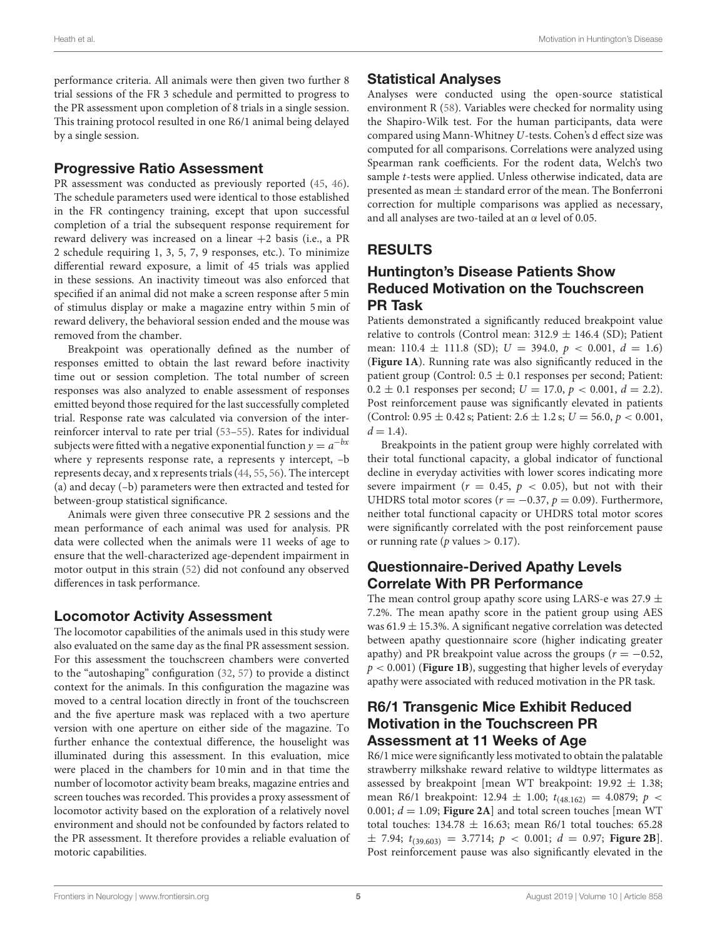performance criteria. All animals were then given two further 8 trial sessions of the FR 3 schedule and permitted to progress to the PR assessment upon completion of 8 trials in a single session. This training protocol resulted in one R6/1 animal being delayed by a single session.

## Progressive Ratio Assessment

PR assessment was conducted as previously reported [\(45,](#page-11-11) [46\)](#page-11-12). The schedule parameters used were identical to those established in the FR contingency training, except that upon successful completion of a trial the subsequent response requirement for reward delivery was increased on a linear +2 basis (i.e., a PR 2 schedule requiring 1, 3, 5, 7, 9 responses, etc.). To minimize differential reward exposure, a limit of 45 trials was applied in these sessions. An inactivity timeout was also enforced that specified if an animal did not make a screen response after 5 min of stimulus display or make a magazine entry within 5 min of reward delivery, the behavioral session ended and the mouse was removed from the chamber.

Breakpoint was operationally defined as the number of responses emitted to obtain the last reward before inactivity time out or session completion. The total number of screen responses was also analyzed to enable assessment of responses emitted beyond those required for the last successfully completed trial. Response rate was calculated via conversion of the interreinforcer interval to rate per trial [\(53–](#page-11-19)[55\)](#page-11-20). Rates for individual subjects were fitted with a negative exponential function  $y = a^{-bx}$ where y represents response rate, a represents y intercept, –b represents decay, and x represents trials [\(44,](#page-11-10) [55,](#page-11-20) [56\)](#page-11-21). The intercept (a) and decay (–b) parameters were then extracted and tested for between-group statistical significance.

Animals were given three consecutive PR 2 sessions and the mean performance of each animal was used for analysis. PR data were collected when the animals were 11 weeks of age to ensure that the well-characterized age-dependent impairment in motor output in this strain [\(52\)](#page-11-18) did not confound any observed differences in task performance.

## Locomotor Activity Assessment

The locomotor capabilities of the animals used in this study were also evaluated on the same day as the final PR assessment session. For this assessment the touchscreen chambers were converted to the "autoshaping" configuration [\(32,](#page-10-24) [57\)](#page-11-22) to provide a distinct context for the animals. In this configuration the magazine was moved to a central location directly in front of the touchscreen and the five aperture mask was replaced with a two aperture version with one aperture on either side of the magazine. To further enhance the contextual difference, the houselight was illuminated during this assessment. In this evaluation, mice were placed in the chambers for 10 min and in that time the number of locomotor activity beam breaks, magazine entries and screen touches was recorded. This provides a proxy assessment of locomotor activity based on the exploration of a relatively novel environment and should not be confounded by factors related to the PR assessment. It therefore provides a reliable evaluation of motoric capabilities.

## Statistical Analyses

Analyses were conducted using the open-source statistical environment R [\(58\)](#page-11-23). Variables were checked for normality using the Shapiro-Wilk test. For the human participants, data were compared using Mann-Whitney U-tests. Cohen's d effect size was computed for all comparisons. Correlations were analyzed using Spearman rank coefficients. For the rodent data, Welch's two sample t-tests were applied. Unless otherwise indicated, data are presented as mean  $\pm$  standard error of the mean. The Bonferroni correction for multiple comparisons was applied as necessary, and all analyses are two-tailed at an α level of 0.05.

# RESULTS

# Huntington's Disease Patients Show Reduced Motivation on the Touchscreen PR Task

Patients demonstrated a significantly reduced breakpoint value relative to controls (Control mean:  $312.9 \pm 146.4$  (SD); Patient mean: 110.4  $\pm$  111.8 (SD); *U* = 394.0, *p* < 0.001, *d* = 1.6) (**[Figure 1A](#page-7-0)**). Running rate was also significantly reduced in the patient group (Control:  $0.5 \pm 0.1$  responses per second; Patient:  $0.2 \pm 0.1$  responses per second;  $U = 17.0, p < 0.001, d = 2.2$ ). Post reinforcement pause was significantly elevated in patients (Control:  $0.95 \pm 0.42$  s; Patient:  $2.6 \pm 1.2$  s;  $U = 56.0, p < 0.001$ ,  $d = 1.4$ .

Breakpoints in the patient group were highly correlated with their total functional capacity, a global indicator of functional decline in everyday activities with lower scores indicating more severe impairment ( $r = 0.45$ ,  $p < 0.05$ ), but not with their UHDRS total motor scores ( $r = -0.37$ ,  $p = 0.09$ ). Furthermore, neither total functional capacity or UHDRS total motor scores were significantly correlated with the post reinforcement pause or running rate ( $p$  values  $> 0.17$ ).

## Questionnaire-Derived Apathy Levels Correlate With PR Performance

The mean control group apathy score using LARS-e was 27.9  $\pm$ 7.2%. The mean apathy score in the patient group using AES was  $61.9 \pm 15.3$ %. A significant negative correlation was detected between apathy questionnaire score (higher indicating greater apathy) and PR breakpoint value across the groups ( $r = -0.52$ ,  $p < 0.001$ ) (**[Figure 1B](#page-7-0)**), suggesting that higher levels of everyday apathy were associated with reduced motivation in the PR task.

## R6/1 Transgenic Mice Exhibit Reduced Motivation in the Touchscreen PR Assessment at 11 Weeks of Age

R6/1 mice were significantly less motivated to obtain the palatable strawberry milkshake reward relative to wildtype littermates as assessed by breakpoint [mean WT breakpoint:  $19.92 \pm 1.38$ ; mean R6/1 breakpoint: 12.94  $\pm$  1.00;  $t_{(48.162)} = 4.0879$ ;  $p \lt$ 0.001;  $d = 1.09$ ; **[Figure 2A](#page-8-0)**] and total screen touches [mean WT total touches:  $134.78 \pm 16.63$ ; mean R6/1 total touches: 65.28  $\pm$  7.94;  $t_{(39,603)} = 3.7714$ ;  $p < 0.001$ ;  $d = 0.97$ ; **[Figure 2B](#page-8-0)**]. Post reinforcement pause was also significantly elevated in the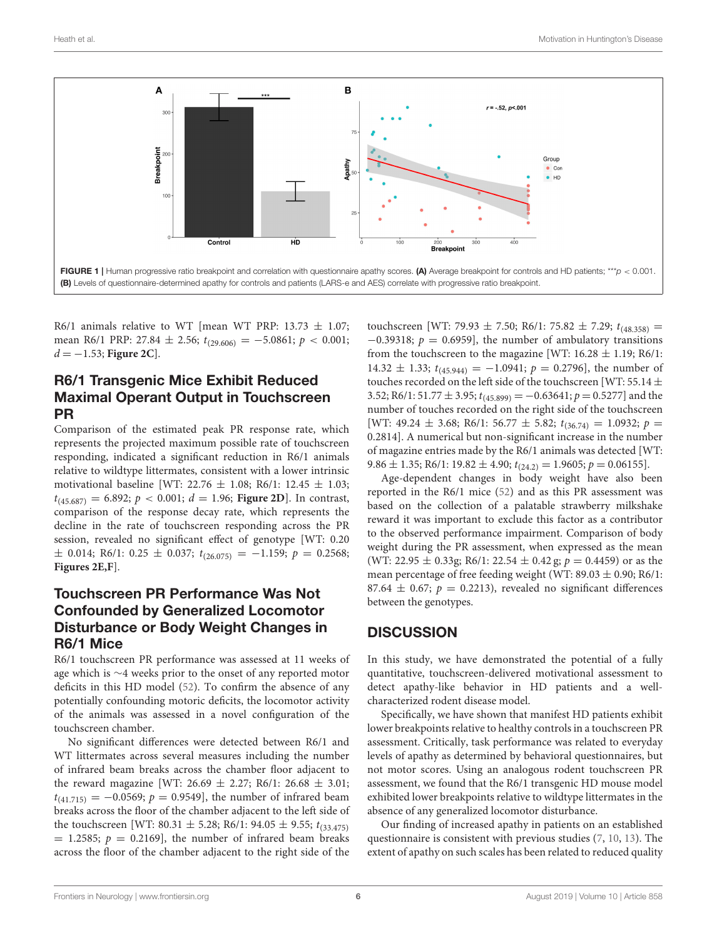

<span id="page-7-0"></span>R6/1 animals relative to WT [mean WT PRP: 13.73  $\pm$  1.07; mean R6/1 PRP: 27.84  $\pm$  2.56;  $t_{(29.606)} = -5.0861$ ;  $p < 0.001$ ; d = −1.53; **[Figure 2C](#page-8-0)**].

## R6/1 Transgenic Mice Exhibit Reduced Maximal Operant Output in Touchscreen PR

Comparison of the estimated peak PR response rate, which represents the projected maximum possible rate of touchscreen responding, indicated a significant reduction in R6/1 animals relative to wildtype littermates, consistent with a lower intrinsic motivational baseline [WT: 22.76  $\pm$  1.08; R6/1: 12.45  $\pm$  1.03;  $t_{(45,687)} = 6.892$ ;  $p < 0.001$ ;  $d = 1.96$ ; **[Figure 2D](#page-8-0)**]. In contrast, comparison of the response decay rate, which represents the decline in the rate of touchscreen responding across the PR session, revealed no significant effect of genotype [WT: 0.20  $\pm$  0.014; R6/1: 0.25  $\pm$  0.037;  $t_{(26.075)} = -1.159$ ;  $p = 0.2568$ ; **[Figures 2E,F](#page-8-0)**].

## Touchscreen PR Performance Was Not Confounded by Generalized Locomotor Disturbance or Body Weight Changes in R6/1 Mice

R6/1 touchscreen PR performance was assessed at 11 weeks of age which is ∼4 weeks prior to the onset of any reported motor deficits in this HD model [\(52\)](#page-11-18). To confirm the absence of any potentially confounding motoric deficits, the locomotor activity of the animals was assessed in a novel configuration of the touchscreen chamber.

No significant differences were detected between R6/1 and WT littermates across several measures including the number of infrared beam breaks across the chamber floor adjacent to the reward magazine [WT: 26.69  $\pm$  2.27; R6/1: 26.68  $\pm$  3.01;  $t_{(41.715)} = -0.0569$ ;  $p = 0.9549$ ], the number of infrared beam breaks across the floor of the chamber adjacent to the left side of the touchscreen [WT: 80.31  $\pm$  5.28; R6/1: 94.05  $\pm$  9.55;  $t_{(33.475)}$  $= 1.2585$ ;  $p = 0.2169$ ], the number of infrared beam breaks across the floor of the chamber adjacent to the right side of the touchscreen [WT: 79.93  $\pm$  7.50; R6/1: 75.82  $\pm$  7.29;  $t_{(48.358)}$  =  $-0.39318$ ;  $p = 0.6959$ ], the number of ambulatory transitions from the touchscreen to the magazine [WT:  $16.28 \pm 1.19$ ; R6/1:  $14.32 \pm 1.33$ ;  $t_{(45.944)} = -1.0941$ ;  $p = 0.2796$ , the number of touches recorded on the left side of the touchscreen [WT: 55.14  $\pm$ 3.52; R6/1: 51.77  $\pm$  3.95;  $t_{(45,899)} = -0.63641$ ;  $p = 0.5277$ ] and the number of touches recorded on the right side of the touchscreen [WT: 49.24  $\pm$  3.68; R6/1: 56.77  $\pm$  5.82;  $t_{(36.74)} = 1.0932$ ;  $p =$ 0.2814]. A numerical but non-significant increase in the number of magazine entries made by the R6/1 animals was detected [WT: 9.86  $\pm$  1.35; R6/1: 19.82  $\pm$  4.90;  $t_{(24.2)} = 1.9605; p = 0.06155$ .

Age-dependent changes in body weight have also been reported in the R6/1 mice [\(52\)](#page-11-18) and as this PR assessment was based on the collection of a palatable strawberry milkshake reward it was important to exclude this factor as a contributor to the observed performance impairment. Comparison of body weight during the PR assessment, when expressed as the mean (WT: 22.95  $\pm$  0.33g; R6/1: 22.54  $\pm$  0.42 g;  $p = 0.4459$ ) or as the mean percentage of free feeding weight (WT: 89.03  $\pm$  0.90; R6/1: 87.64  $\pm$  0.67;  $p = 0.2213$ ), revealed no significant differences between the genotypes.

## **DISCUSSION**

In this study, we have demonstrated the potential of a fully quantitative, touchscreen-delivered motivational assessment to detect apathy-like behavior in HD patients and a wellcharacterized rodent disease model.

Specifically, we have shown that manifest HD patients exhibit lower breakpoints relative to healthy controls in a touchscreen PR assessment. Critically, task performance was related to everyday levels of apathy as determined by behavioral questionnaires, but not motor scores. Using an analogous rodent touchscreen PR assessment, we found that the R6/1 transgenic HD mouse model exhibited lower breakpoints relative to wildtype littermates in the absence of any generalized locomotor disturbance.

Our finding of increased apathy in patients on an established questionnaire is consistent with previous studies [\(7,](#page-10-25) [10,](#page-10-5) [13\)](#page-10-7). The extent of apathy on such scales has been related to reduced quality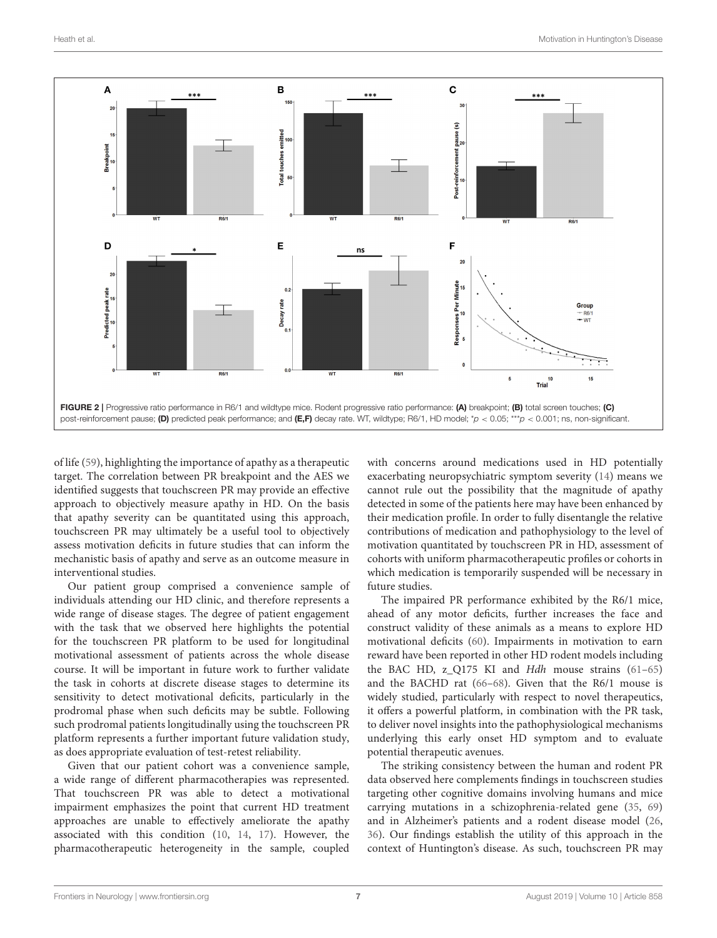

<span id="page-8-0"></span>of life [\(59\)](#page-11-24), highlighting the importance of apathy as a therapeutic target. The correlation between PR breakpoint and the AES we identified suggests that touchscreen PR may provide an effective approach to objectively measure apathy in HD. On the basis that apathy severity can be quantitated using this approach, touchscreen PR may ultimately be a useful tool to objectively assess motivation deficits in future studies that can inform the mechanistic basis of apathy and serve as an outcome measure in interventional studies.

Our patient group comprised a convenience sample of individuals attending our HD clinic, and therefore represents a wide range of disease stages. The degree of patient engagement with the task that we observed here highlights the potential for the touchscreen PR platform to be used for longitudinal motivational assessment of patients across the whole disease course. It will be important in future work to further validate the task in cohorts at discrete disease stages to determine its sensitivity to detect motivational deficits, particularly in the prodromal phase when such deficits may be subtle. Following such prodromal patients longitudinally using the touchscreen PR platform represents a further important future validation study, as does appropriate evaluation of test-retest reliability.

Given that our patient cohort was a convenience sample, a wide range of different pharmacotherapies was represented. That touchscreen PR was able to detect a motivational impairment emphasizes the point that current HD treatment approaches are unable to effectively ameliorate the apathy associated with this condition [\(10,](#page-10-5) [14,](#page-10-8) [17\)](#page-10-11). However, the pharmacotherapeutic heterogeneity in the sample, coupled with concerns around medications used in HD potentially exacerbating neuropsychiatric symptom severity [\(14\)](#page-10-8) means we cannot rule out the possibility that the magnitude of apathy detected in some of the patients here may have been enhanced by their medication profile. In order to fully disentangle the relative contributions of medication and pathophysiology to the level of motivation quantitated by touchscreen PR in HD, assessment of cohorts with uniform pharmacotherapeutic profiles or cohorts in which medication is temporarily suspended will be necessary in future studies.

The impaired PR performance exhibited by the R6/1 mice, ahead of any motor deficits, further increases the face and construct validity of these animals as a means to explore HD motivational deficits [\(60\)](#page-11-25). Impairments in motivation to earn reward have been reported in other HD rodent models including the BAC HD, z Q175 KI and Hdh mouse strains  $(61-65)$ and the BACHD rat [\(66–](#page-11-28)[68\)](#page-11-29). Given that the R6/1 mouse is widely studied, particularly with respect to novel therapeutics, it offers a powerful platform, in combination with the PR task, to deliver novel insights into the pathophysiological mechanisms underlying this early onset HD symptom and to evaluate potential therapeutic avenues.

The striking consistency between the human and rodent PR data observed here complements findings in touchscreen studies targeting other cognitive domains involving humans and mice carrying mutations in a schizophrenia-related gene [\(35,](#page-11-1) [69\)](#page-12-0) and in Alzheimer's patients and a rodent disease model [\(26,](#page-10-20) [36\)](#page-11-2). Our findings establish the utility of this approach in the context of Huntington's disease. As such, touchscreen PR may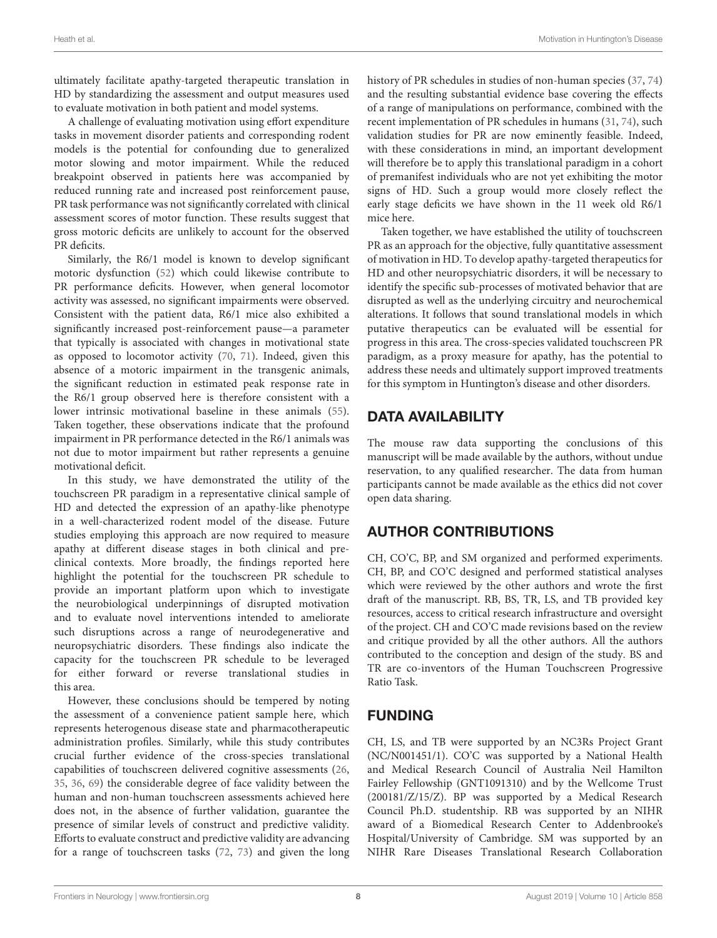ultimately facilitate apathy-targeted therapeutic translation in HD by standardizing the assessment and output measures used to evaluate motivation in both patient and model systems.

A challenge of evaluating motivation using effort expenditure tasks in movement disorder patients and corresponding rodent models is the potential for confounding due to generalized motor slowing and motor impairment. While the reduced breakpoint observed in patients here was accompanied by reduced running rate and increased post reinforcement pause, PR task performance was not significantly correlated with clinical assessment scores of motor function. These results suggest that gross motoric deficits are unlikely to account for the observed PR deficits.

Similarly, the R6/1 model is known to develop significant motoric dysfunction [\(52\)](#page-11-18) which could likewise contribute to PR performance deficits. However, when general locomotor activity was assessed, no significant impairments were observed. Consistent with the patient data, R6/1 mice also exhibited a significantly increased post-reinforcement pause—a parameter that typically is associated with changes in motivational state as opposed to locomotor activity [\(70,](#page-12-1) [71\)](#page-12-2). Indeed, given this absence of a motoric impairment in the transgenic animals, the significant reduction in estimated peak response rate in the R6/1 group observed here is therefore consistent with a lower intrinsic motivational baseline in these animals [\(55\)](#page-11-20). Taken together, these observations indicate that the profound impairment in PR performance detected in the R6/1 animals was not due to motor impairment but rather represents a genuine motivational deficit.

In this study, we have demonstrated the utility of the touchscreen PR paradigm in a representative clinical sample of HD and detected the expression of an apathy-like phenotype in a well-characterized rodent model of the disease. Future studies employing this approach are now required to measure apathy at different disease stages in both clinical and preclinical contexts. More broadly, the findings reported here highlight the potential for the touchscreen PR schedule to provide an important platform upon which to investigate the neurobiological underpinnings of disrupted motivation and to evaluate novel interventions intended to ameliorate such disruptions across a range of neurodegenerative and neuropsychiatric disorders. These findings also indicate the capacity for the touchscreen PR schedule to be leveraged for either forward or reverse translational studies in this area.

However, these conclusions should be tempered by noting the assessment of a convenience patient sample here, which represents heterogenous disease state and pharmacotherapeutic administration profiles. Similarly, while this study contributes crucial further evidence of the cross-species translational capabilities of touchscreen delivered cognitive assessments [\(26,](#page-10-20) [35,](#page-11-1) [36,](#page-11-2) [69\)](#page-12-0) the considerable degree of face validity between the human and non-human touchscreen assessments achieved here does not, in the absence of further validation, guarantee the presence of similar levels of construct and predictive validity. Efforts to evaluate construct and predictive validity are advancing for a range of touchscreen tasks [\(72,](#page-12-3) [73\)](#page-12-4) and given the long history of PR schedules in studies of non-human species [\(37,](#page-11-3) [74\)](#page-12-5) and the resulting substantial evidence base covering the effects of a range of manipulations on performance, combined with the recent implementation of PR schedules in humans [\(31,](#page-10-23) [74\)](#page-12-5), such validation studies for PR are now eminently feasible. Indeed, with these considerations in mind, an important development will therefore be to apply this translational paradigm in a cohort of premanifest individuals who are not yet exhibiting the motor signs of HD. Such a group would more closely reflect the early stage deficits we have shown in the 11 week old R6/1 mice here.

Taken together, we have established the utility of touchscreen PR as an approach for the objective, fully quantitative assessment of motivation in HD. To develop apathy-targeted therapeutics for HD and other neuropsychiatric disorders, it will be necessary to identify the specific sub-processes of motivated behavior that are disrupted as well as the underlying circuitry and neurochemical alterations. It follows that sound translational models in which putative therapeutics can be evaluated will be essential for progress in this area. The cross-species validated touchscreen PR paradigm, as a proxy measure for apathy, has the potential to address these needs and ultimately support improved treatments for this symptom in Huntington's disease and other disorders.

# DATA AVAILABILITY

The mouse raw data supporting the conclusions of this manuscript will be made available by the authors, without undue reservation, to any qualified researcher. The data from human participants cannot be made available as the ethics did not cover open data sharing.

# AUTHOR CONTRIBUTIONS

CH, CO'C, BP, and SM organized and performed experiments. CH, BP, and CO'C designed and performed statistical analyses which were reviewed by the other authors and wrote the first draft of the manuscript. RB, BS, TR, LS, and TB provided key resources, access to critical research infrastructure and oversight of the project. CH and CO'C made revisions based on the review and critique provided by all the other authors. All the authors contributed to the conception and design of the study. BS and TR are co-inventors of the Human Touchscreen Progressive Ratio Task.

# FUNDING

CH, LS, and TB were supported by an NC3Rs Project Grant (NC/N001451/1). CO'C was supported by a National Health and Medical Research Council of Australia Neil Hamilton Fairley Fellowship (GNT1091310) and by the Wellcome Trust (200181/Z/15/Z). BP was supported by a Medical Research Council Ph.D. studentship. RB was supported by an NIHR award of a Biomedical Research Center to Addenbrooke's Hospital/University of Cambridge. SM was supported by an NIHR Rare Diseases Translational Research Collaboration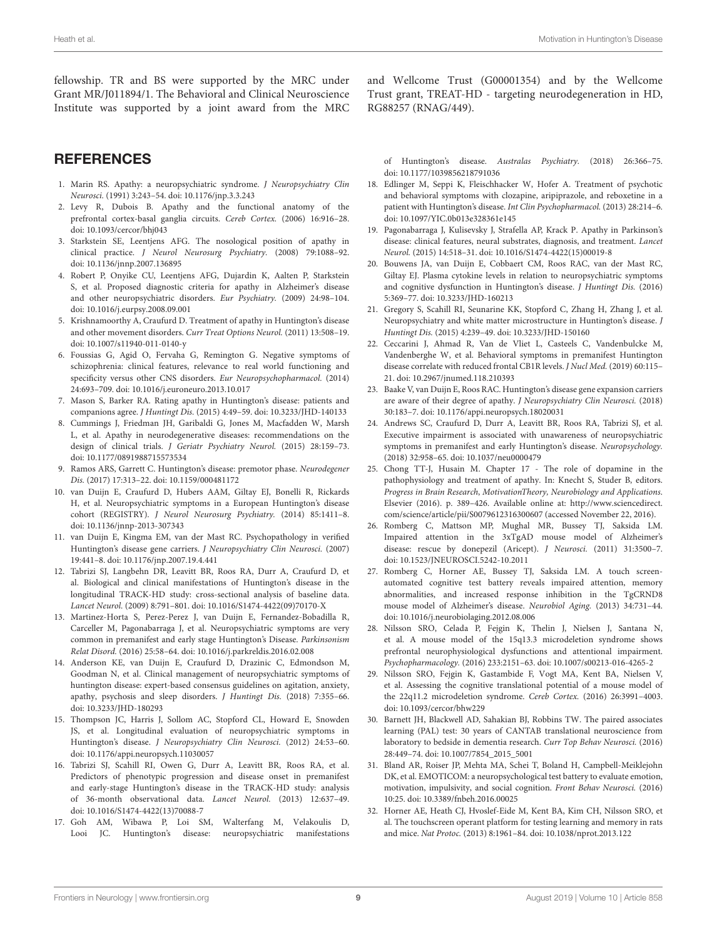fellowship. TR and BS were supported by the MRC under Grant MR/J011894/1. The Behavioral and Clinical Neuroscience Institute was supported by a joint award from the MRC

**REFERENCES** 

- <span id="page-10-0"></span>1. Marin RS. Apathy: a neuropsychiatric syndrome. J Neuropsychiatry Clin Neurosci. (1991) 3:243–54. doi: [10.1176/jnp.3.3.243](https://doi.org/10.1176/jnp.3.3.243)
- 2. Levy R, Dubois B. Apathy and the functional anatomy of the prefrontal cortex-basal ganglia circuits. Cereb Cortex. (2006) 16:916–28. doi: [10.1093/cercor/bhj043](https://doi.org/10.1093/cercor/bhj043)
- 3. Starkstein SE, Leentjens AFG. The nosological position of apathy in clinical practice. J Neurol Neurosurg Psychiatry. (2008) 79:1088–92. doi: [10.1136/jnnp.2007.136895](https://doi.org/10.1136/jnnp.2007.136895)
- <span id="page-10-1"></span>4. Robert P, Onyike CU, Leentjens AFG, Dujardin K, Aalten P, Starkstein S, et al. Proposed diagnostic criteria for apathy in Alzheimer's disease and other neuropsychiatric disorders. Eur Psychiatry. (2009) 24:98–104. doi: [10.1016/j.eurpsy.2008.09.001](https://doi.org/10.1016/j.eurpsy.2008.09.001)
- <span id="page-10-2"></span>5. Krishnamoorthy A, Craufurd D. Treatment of apathy in Huntington's disease and other movement disorders. Curr Treat Options Neurol. (2011) 13:508–19. doi: [10.1007/s11940-011-0140-y](https://doi.org/10.1007/s11940-011-0140-y)
- 6. Foussias G, Agid O, Fervaha G, Remington G. Negative symptoms of schizophrenia: clinical features, relevance to real world functioning and specificity versus other CNS disorders. Eur Neuropsychopharmacol. (2014) 24:693–709. doi: [10.1016/j.euroneuro.2013.10.017](https://doi.org/10.1016/j.euroneuro.2013.10.017)
- <span id="page-10-25"></span>7. Mason S, Barker RA. Rating apathy in Huntington's disease: patients and companions agree. J Huntingt Dis. (2015) 4:49–59. doi: [10.3233/JHD-140133](https://doi.org/10.3233/JHD-140133)
- <span id="page-10-3"></span>8. Cummings J, Friedman JH, Garibaldi G, Jones M, Macfadden W, Marsh L, et al. Apathy in neurodegenerative diseases: recommendations on the design of clinical trials. J Geriatr Psychiatry Neurol. (2015) 28:159–73. doi: [10.1177/0891988715573534](https://doi.org/10.1177/0891988715573534)
- <span id="page-10-4"></span>Ramos ARS, Garrett C. Huntington's disease: premotor phase. Neurodegener Dis. (2017) 17:313–22. doi: [10.1159/000481172](https://doi.org/10.1159/000481172)
- <span id="page-10-5"></span>10. van Duijn E, Craufurd D, Hubers AAM, Giltay EJ, Bonelli R, Rickards H, et al. Neuropsychiatric symptoms in a European Huntington's disease cohort (REGISTRY). J Neurol Neurosurg Psychiatry. (2014) 85:1411–8. doi: [10.1136/jnnp-2013-307343](https://doi.org/10.1136/jnnp-2013-307343)
- <span id="page-10-6"></span>11. van Duijn E, Kingma EM, van der Mast RC. Psychopathology in verified Huntington's disease gene carriers. J Neuropsychiatry Clin Neurosci. (2007) 19:441–8. doi: [10.1176/jnp.2007.19.4.441](https://doi.org/10.1176/jnp.2007.19.4.441)
- 12. Tabrizi SJ, Langbehn DR, Leavitt BR, Roos RA, Durr A, Craufurd D, et al. Biological and clinical manifestations of Huntington's disease in the longitudinal TRACK-HD study: cross-sectional analysis of baseline data. Lancet Neurol. (2009) 8:791–801. doi: [10.1016/S1474-4422\(09\)70170-X](https://doi.org/10.1016/S1474-4422(09)70170-X)
- <span id="page-10-7"></span>13. Martinez-Horta S, Perez-Perez J, van Duijn E, Fernandez-Bobadilla R, Carceller M, Pagonabarraga J, et al. Neuropsychiatric symptoms are very common in premanifest and early stage Huntington's Disease. Parkinsonism Relat Disord. (2016) 25:58–64. doi: [10.1016/j.parkreldis.2016.02.008](https://doi.org/10.1016/j.parkreldis.2016.02.008)
- <span id="page-10-8"></span>14. Anderson KE, van Duijn E, Craufurd D, Drazinic C, Edmondson M, Goodman N, et al. Clinical management of neuropsychiatric symptoms of huntington disease: expert-based consensus guidelines on agitation, anxiety, apathy, psychosis and sleep disorders. J Huntingt Dis. (2018) 7:355–66. doi: [10.3233/JHD-180293](https://doi.org/10.3233/JHD-180293)
- <span id="page-10-9"></span>15. Thompson JC, Harris J, Sollom AC, Stopford CL, Howard E, Snowden JS, et al. Longitudinal evaluation of neuropsychiatric symptoms in Huntington's disease. J Neuropsychiatry Clin Neurosci. (2012) 24:53–60. doi: [10.1176/appi.neuropsych.11030057](https://doi.org/10.1176/appi.neuropsych.11030057)
- <span id="page-10-10"></span>16. Tabrizi SJ, Scahill RI, Owen G, Durr A, Leavitt BR, Roos RA, et al. Predictors of phenotypic progression and disease onset in premanifest and early-stage Huntington's disease in the TRACK-HD study: analysis of 36-month observational data. Lancet Neurol. (2013) 12:637–49. doi: [10.1016/S1474-4422\(13\)70088-7](https://doi.org/10.1016/S1474-4422(13)70088-7)
- <span id="page-10-11"></span>17. Goh AM, Wibawa P, Loi SM, Walterfang M, Velakoulis D, Looi JC. Huntington's disease: neuropsychiatric manifestations

and Wellcome Trust (G00001354) and by the Wellcome Trust grant, TREAT-HD - targeting neurodegeneration in HD, RG88257 (RNAG/449).

of Huntington's disease. Australas Psychiatry. (2018) 26:366–75. doi: [10.1177/1039856218791036](https://doi.org/10.1177/1039856218791036)

- <span id="page-10-12"></span>18. Edlinger M, Seppi K, Fleischhacker W, Hofer A. Treatment of psychotic and behavioral symptoms with clozapine, aripiprazole, and reboxetine in a patient with Huntington's disease. Int Clin Psychopharmacol. (2013) 28:214–6. doi: [10.1097/YIC.0b013e328361e145](https://doi.org/10.1097/YIC.0b013e328361e145)
- <span id="page-10-13"></span>19. Pagonabarraga J, Kulisevsky J, Strafella AP, Krack P. Apathy in Parkinson's disease: clinical features, neural substrates, diagnosis, and treatment. Lancet Neurol. (2015) 14:518–31. doi: [10.1016/S1474-4422\(15\)00019-8](https://doi.org/10.1016/S1474-4422(15)00019-8)
- <span id="page-10-14"></span>20. Bouwens JA, van Duijn E, Cobbaert CM, Roos RAC, van der Mast RC, Giltay EJ. Plasma cytokine levels in relation to neuropsychiatric symptoms and cognitive dysfunction in Huntington's disease. J Huntingt Dis. (2016) 5:369–77. doi: [10.3233/JHD-160213](https://doi.org/10.3233/JHD-160213)
- <span id="page-10-15"></span>21. Gregory S, Scahill RI, Seunarine KK, Stopford C, Zhang H, Zhang J, et al. Neuropsychiatry and white matter microstructure in Huntington's disease. J Huntingt Dis. (2015) 4:239–49. doi: [10.3233/JHD-150160](https://doi.org/10.3233/JHD-150160)
- <span id="page-10-16"></span>22. Ceccarini J, Ahmad R, Van de Vliet L, Casteels C, Vandenbulcke M, Vandenberghe W, et al. Behavioral symptoms in premanifest Huntington disease correlate with reduced frontal CB1R levels. J Nucl Med. (2019) 60:115– 21. doi: [10.2967/jnumed.118.210393](https://doi.org/10.2967/jnumed.118.210393)
- <span id="page-10-17"></span>23. Baake V, van Duijn E, Roos RAC. Huntington's disease gene expansion carriers are aware of their degree of apathy. J Neuropsychiatry Clin Neurosci. (2018) 30:183–7. doi: [10.1176/appi.neuropsych.18020031](https://doi.org/10.1176/appi.neuropsych.18020031)
- <span id="page-10-18"></span>24. Andrews SC, Craufurd D, Durr A, Leavitt BR, Roos RA, Tabrizi SJ, et al. Executive impairment is associated with unawareness of neuropsychiatric symptoms in premanifest and early Huntington's disease. Neuropsychology. (2018) 32:958–65. doi: [10.1037/neu0000479](https://doi.org/10.1037/neu0000479)
- <span id="page-10-19"></span>25. Chong TT-J, Husain M. Chapter 17 - The role of dopamine in the pathophysiology and treatment of apathy. In: Knecht S, Studer B, editors. Progress in Brain Research, MotivationTheory, Neurobiology and Applications. Elsevier (2016). p. 389–426. Available online at: [http://www.sciencedirect.](http://www.sciencedirect.com/science/article/pii/S0079612316300607) [com/science/article/pii/S0079612316300607](http://www.sciencedirect.com/science/article/pii/S0079612316300607) (accessed November 22, 2016).
- <span id="page-10-20"></span>26. Romberg C, Mattson MP, Mughal MR, Bussey TJ, Saksida LM. Impaired attention in the 3xTgAD mouse model of Alzheimer's disease: rescue by donepezil (Aricept). J Neurosci. (2011) 31:3500–7. doi: [10.1523/JNEUROSCI.5242-10.2011](https://doi.org/10.1523/JNEUROSCI.5242-10.2011)
- 27. Romberg C, Horner AE, Bussey TJ, Saksida LM. A touch screenautomated cognitive test battery reveals impaired attention, memory abnormalities, and increased response inhibition in the TgCRND8 mouse model of Alzheimer's disease. Neurobiol Aging. (2013) 34:731–44. doi: [10.1016/j.neurobiolaging.2012.08.006](https://doi.org/10.1016/j.neurobiolaging.2012.08.006)
- 28. Nilsson SRO, Celada P, Fejgin K, Thelin J, Nielsen J, Santana N, et al. A mouse model of the 15q13.3 microdeletion syndrome shows prefrontal neurophysiological dysfunctions and attentional impairment. Psychopharmacology. (2016) 233:2151–63. doi: [10.1007/s00213-016-4265-2](https://doi.org/10.1007/s00213-016-4265-2)
- <span id="page-10-21"></span>29. Nilsson SRO, Fejgin K, Gastambide F, Vogt MA, Kent BA, Nielsen V, et al. Assessing the cognitive translational potential of a mouse model of the 22q11.2 microdeletion syndrome. Cereb Cortex. (2016) 26:3991–4003. doi: [10.1093/cercor/bhw229](https://doi.org/10.1093/cercor/bhw229)
- <span id="page-10-22"></span>30. Barnett JH, Blackwell AD, Sahakian BJ, Robbins TW. The paired associates learning (PAL) test: 30 years of CANTAB translational neuroscience from laboratory to bedside in dementia research. Curr Top Behav Neurosci. (2016) 28:449–74. doi: [10.1007/7854\\_2015\\_5001](https://doi.org/10.1007/7854_2015_5001)
- <span id="page-10-23"></span>31. Bland AR, Roiser JP, Mehta MA, Schei T, Boland H, Campbell-Meiklejohn DK, et al. EMOTICOM: a neuropsychological test battery to evaluate emotion, motivation, impulsivity, and social cognition. Front Behav Neurosci. (2016) 10:25. doi: [10.3389/fnbeh.2016.00025](https://doi.org/10.3389/fnbeh.2016.00025)
- <span id="page-10-24"></span>32. Horner AE, Heath CJ, Hvoslef-Eide M, Kent BA, Kim CH, Nilsson SRO, et al. The touchscreen operant platform for testing learning and memory in rats and mice. Nat Protoc. (2013) 8:1961–84. doi: [10.1038/nprot.2013.122](https://doi.org/10.1038/nprot.2013.122)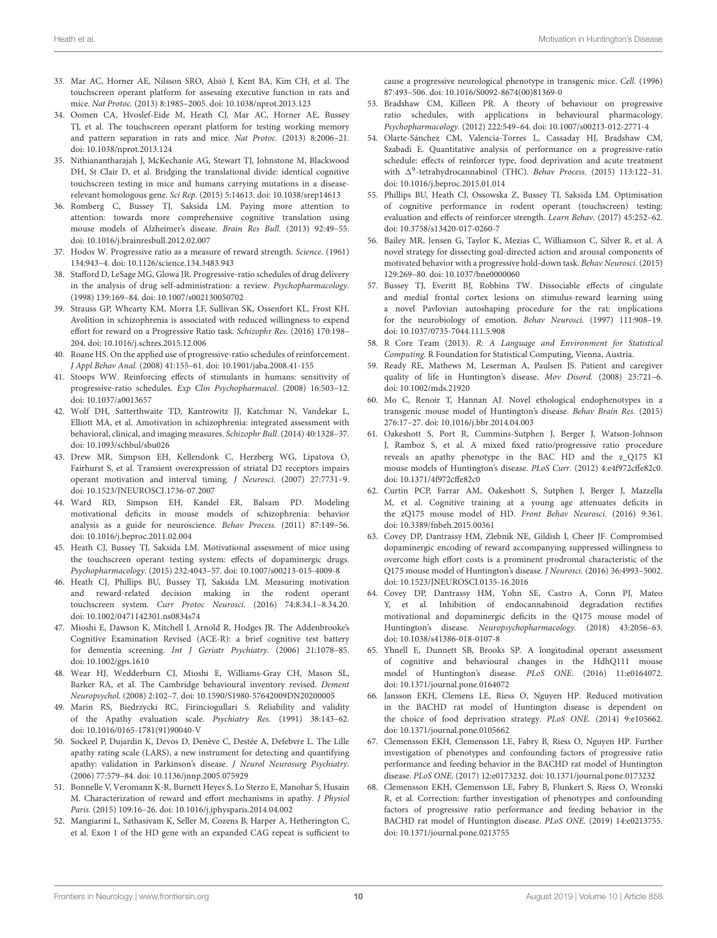- 33. Mar AC, Horner AE, Nilsson SRO, Alsiö J, Kent BA, Kim CH, et al. The touchscreen operant platform for assessing executive function in rats and mice. Nat Protoc. (2013) 8:1985–2005. doi: [10.1038/nprot.2013.123](https://doi.org/10.1038/nprot.2013.123)
- <span id="page-11-0"></span>34. Oomen CA, Hvoslef-Eide M, Heath CJ, Mar AC, Horner AE, Bussey TJ, et al. The touchscreen operant platform for testing working memory and pattern separation in rats and mice. Nat Protoc. (2013) 8:2006–21. doi: [10.1038/nprot.2013.124](https://doi.org/10.1038/nprot.2013.124)
- <span id="page-11-1"></span>35. Nithianantharajah J, McKechanie AG, Stewart TJ, Johnstone M, Blackwood DH, St Clair D, et al. Bridging the translational divide: identical cognitive touchscreen testing in mice and humans carrying mutations in a diseaserelevant homologous gene. Sci Rep. (2015) 5:14613. doi: [10.1038/srep14613](https://doi.org/10.1038/srep14613)
- <span id="page-11-2"></span>36. Romberg C, Bussey TJ, Saksida LM. Paying more attention to attention: towards more comprehensive cognitive translation using mouse models of Alzheimer's disease. Brain Res Bull. (2013) 92:49–55. doi: [10.1016/j.brainresbull.2012.02.007](https://doi.org/10.1016/j.brainresbull.2012.02.007)
- <span id="page-11-3"></span>37. Hodos W. Progressive ratio as a measure of reward strength. Science. (1961) 134:943–4. doi: [10.1126/science.134.3483.943](https://doi.org/10.1126/science.134.3483.943)
- <span id="page-11-4"></span>38. Stafford D, LeSage MG, Glowa JR. Progressive-ratio schedules of drug delivery in the analysis of drug self-administration: a review. Psychopharmacology. (1998) 139:169–84. doi: [10.1007/s002130050702](https://doi.org/10.1007/s002130050702)
- <span id="page-11-5"></span>39. Strauss GP, Whearty KM, Morra LF, Sullivan SK, Ossenfort KL, Frost KH. Avolition in schizophrenia is associated with reduced willingness to expend effort for reward on a Progressive Ratio task. Schizophr Res. (2016) 170:198– 204. doi: [10.1016/j.schres.2015.12.006](https://doi.org/10.1016/j.schres.2015.12.006)
- <span id="page-11-6"></span>40. Roane HS. On the applied use of progressive-ratio schedules of reinforcement. J Appl Behav Anal. (2008) 41:155–61. doi: [10.1901/jaba.2008.41-155](https://doi.org/10.1901/jaba.2008.41-155)
- <span id="page-11-7"></span>41. Stoops WW. Reinforcing effects of stimulants in humans: sensitivity of progressive-ratio schedules. Exp Clin Psychopharmacol. (2008) 16:503–12. doi: [10.1037/a0013657](https://doi.org/10.1037/a0013657)
- <span id="page-11-8"></span>42. Wolf DH, Satterthwaite TD, Kantrowitz JJ, Katchmar N, Vandekar L, Elliott MA, et al. Amotivation in schizophrenia: integrated assessment with behavioral, clinical, and imaging measures. Schizophr Bull. (2014) 40:1328–37. doi: [10.1093/schbul/sbu026](https://doi.org/10.1093/schbul/sbu026)
- <span id="page-11-9"></span>43. Drew MR, Simpson EH, Kellendonk C, Herzberg WG, Lipatova O, Fairhurst S, et al. Transient overexpression of striatal D2 receptors impairs operant motivation and interval timing. J Neurosci. (2007) 27:7731–9. doi: [10.1523/JNEUROSCI.1736-07.2007](https://doi.org/10.1523/JNEUROSCI.1736-07.2007)
- <span id="page-11-10"></span>44. Ward RD, Simpson EH, Kandel ER, Balsam PD. Modeling motivational deficits in mouse models of schizophrenia: behavior analysis as a guide for neuroscience. Behav Process. (2011) 87:149–56. doi: [10.1016/j.beproc.2011.02.004](https://doi.org/10.1016/j.beproc.2011.02.004)
- <span id="page-11-11"></span>45. Heath CJ, Bussey TJ, Saksida LM. Motivational assessment of mice using the touchscreen operant testing system: effects of dopaminergic drugs. Psychopharmacology. (2015) 232:4043–57. doi: [10.1007/s00213-015-4009-8](https://doi.org/10.1007/s00213-015-4009-8)
- <span id="page-11-12"></span>46. Heath CJ, Phillips BU, Bussey TJ, Saksida LM. Measuring motivation and reward-related decision making in the rodent operant touchscreen system. Curr Protoc Neurosci. (2016) 74:8.34.1–8.34.20. doi: [10.1002/0471142301.ns0834s74](https://doi.org/10.1002/0471142301.ns0834s74)
- <span id="page-11-13"></span>47. Mioshi E, Dawson K, Mitchell J, Arnold R, Hodges JR. The Addenbrooke's Cognitive Examination Revised (ACE-R): a brief cognitive test battery for dementia screening. Int J Geriatr Psychiatry. (2006) 21:1078–85. doi: [10.1002/gps.1610](https://doi.org/10.1002/gps.1610)
- <span id="page-11-14"></span>48. Wear HJ, Wedderburn CJ, Mioshi E, Williams-Gray CH, Mason SL, Barker RA, et al. The Cambridge behavioural inventory revised. Dement Neuropsychol. (2008) 2:102–7. doi: [10.1590/S1980-57642009DN20200005](https://doi.org/10.1590/S1980-57642009DN20200005)
- <span id="page-11-15"></span>49. Marin RS, Biedrzycki RC, Firinciogullari S. Reliability and validity of the Apathy evaluation scale. Psychiatry Res. (1991) 38:143–62. doi: [10.1016/0165-1781\(91\)90040-V](https://doi.org/10.1016/0165-1781(91)90040-V)
- <span id="page-11-16"></span>50. Sockeel P, Dujardin K, Devos D, Denève C, Destée A, Defebvre L. The Lille apathy rating scale (LARS), a new instrument for detecting and quantifying apathy: validation in Parkinson's disease. J Neurol Neurosurg Psychiatry. (2006) 77:579–84. doi: [10.1136/jnnp.2005.075929](https://doi.org/10.1136/jnnp.2005.075929)
- <span id="page-11-17"></span>51. Bonnelle V, Veromann K-R, Burnett Heyes S, Lo Sterzo E, Manohar S, Husain M. Characterization of reward and effort mechanisms in apathy. J Physiol Paris. (2015) 109:16–26. doi: [10.1016/j.jphysparis.2014.04.002](https://doi.org/10.1016/j.jphysparis.2014.04.002)
- <span id="page-11-18"></span>52. Mangiarini L, Sathasivam K, Seller M, Cozens B, Harper A, Hetherington C, et al. Exon 1 of the HD gene with an expanded CAG repeat is sufficient to

cause a progressive neurological phenotype in transgenic mice. Cell. (1996) 87:493–506. doi: [10.1016/S0092-8674\(00\)81369-0](https://doi.org/10.1016/S0092-8674(00)81369-0)

- <span id="page-11-19"></span>53. Bradshaw CM, Killeen PR. A theory of behaviour on progressive ratio schedules, with applications in behavioural pharmacology. Psychopharmacology. (2012) 222:549–64. doi: [10.1007/s00213-012-2771-4](https://doi.org/10.1007/s00213-012-2771-4)
- 54. Olarte-Sánchez CM, Valencia-Torres L, Cassaday HJ, Bradshaw CM, Szabadi E. Quantitative analysis of performance on a progressive-ratio schedule: effects of reinforcer type, food deprivation and acute treatment with  $\Delta^9$ -tetrahydrocannabinol (THC). Behav Process. (2015) 113:122-31. doi: [10.1016/j.beproc.2015.01.014](https://doi.org/10.1016/j.beproc.2015.01.014)
- <span id="page-11-20"></span>55. Phillips BU, Heath CJ, Ossowska Z, Bussey TJ, Saksida LM. Optimisation of cognitive performance in rodent operant (touchscreen) testing: evaluation and effects of reinforcer strength. Learn Behav. (2017) 45:252–62. doi: [10.3758/s13420-017-0260-7](https://doi.org/10.3758/s13420-017-0260-7)
- <span id="page-11-21"></span>56. Bailey MR, Jensen G, Taylor K, Mezias C, Williamson C, Silver R, et al. A novel strategy for dissecting goal-directed action and arousal components of motivated behavior with a progressive hold-down task. Behav Neurosci. (2015) 129:269–80. doi: [10.1037/bne0000060](https://doi.org/10.1037/bne0000060)
- <span id="page-11-22"></span>57. Bussey TJ, Everitt BJ, Robbins TW. Dissociable effects of cingulate and medial frontal cortex lesions on stimulus-reward learning using a novel Pavlovian autoshaping procedure for the rat: implications for the neurobiology of emotion. Behav Neurosci. (1997) 111:908–19. doi: [10.1037/0735-7044.111.5.908](https://doi.org/10.1037/0735-7044.111.5.908)
- <span id="page-11-23"></span>58. R Core Team (2013). R: A Language and Environment for Statistical Computing. R Foundation for Statistical Computing, Vienna, Austria.
- <span id="page-11-24"></span>59. Ready RE, Mathews M, Leserman A, Paulsen JS. Patient and caregiver quality of life in Huntington's disease. Mov Disord. (2008) 23:721–6. doi: [10.1002/mds.21920](https://doi.org/10.1002/mds.21920)
- <span id="page-11-25"></span>60. Mo C, Renoir T, Hannan AJ. Novel ethological endophenotypes in a transgenic mouse model of Huntington's disease. Behav Brain Res. (2015) 276:17–27. doi: [10.1016/j.bbr.2014.04.003](https://doi.org/10.1016/j.bbr.2014.04.003)
- <span id="page-11-26"></span>61. Oakeshott S, Port R, Cummins-Sutphen J, Berger J, Watson-Johnson J, Ramboz S, et al. A mixed fixed ratio/progressive ratio procedure reveals an apathy phenotype in the BAC HD and the z\_Q175 KI mouse models of Huntington's disease. PLoS Curr. (2012) 4:e4f972cffe82c0. doi: [10.1371/4f972cffe82c0](https://doi.org/10.1371/4f972cffe82c0)
- 62. Curtin PCP, Farrar AM, Oakeshott S, Sutphen J, Berger J, Mazzella M, et al. Cognitive training at a young age attenuates deficits in the zQ175 mouse model of HD. Front Behav Neurosci. (2016) 9:361. doi: [10.3389/fnbeh.2015.00361](https://doi.org/10.3389/fnbeh.2015.00361)
- 63. Covey DP, Dantrassy HM, Zlebnik NE, Gildish I, Cheer JF. Compromised dopaminergic encoding of reward accompanying suppressed willingness to overcome high effort costs is a prominent prodromal characteristic of the Q175 mouse model of Huntington's disease. J Neurosci. (2016) 36:4993–5002. doi: [10.1523/JNEUROSCI.0135-16.2016](https://doi.org/10.1523/JNEUROSCI.0135-16.2016)
- 64. Covey DP, Dantrassy HM, Yohn SE, Castro A, Conn PJ, Mateo Y, et al. Inhibition of endocannabinoid degradation rectifies motivational and dopaminergic deficits in the Q175 mouse model of Huntington's disease. Neuropsychopharmacology. (2018) 43:2056–63. doi: [10.1038/s41386-018-0107-8](https://doi.org/10.1038/s41386-018-0107-8)
- <span id="page-11-27"></span>65. Yhnell E, Dunnett SB, Brooks SP. A longitudinal operant assessment of cognitive and behavioural changes in the HdhQ111 mouse model of Huntington's disease. PLoS ONE. (2016) 11:e0164072. doi: [10.1371/journal.pone.0164072](https://doi.org/10.1371/journal.pone.0164072)
- <span id="page-11-28"></span>66. Jansson EKH, Clemens LE, Riess O, Nguyen HP. Reduced motivation in the BACHD rat model of Huntington disease is dependent on the choice of food deprivation strategy. PLoS ONE. (2014) 9:e105662. doi: [10.1371/journal.pone.0105662](https://doi.org/10.1371/journal.pone.0105662)
- 67. Clemensson EKH, Clemensson LE, Fabry B, Riess O, Nguyen HP. Further investigation of phenotypes and confounding factors of progressive ratio performance and feeding behavior in the BACHD rat model of Huntington disease. PLoS ONE. (2017) 12:e0173232. doi: [10.1371/journal.pone.0173232](https://doi.org/10.1371/journal.pone.0173232)
- <span id="page-11-29"></span>68. Clemensson EKH, Clemensson LE, Fabry B, Flunkert S, Riess O, Wronski R, et al. Correction: further investigation of phenotypes and confounding factors of progressive ratio performance and feeding behavior in the BACHD rat model of Huntington disease. PLoS ONE. (2019) 14:e0213755. doi: [10.1371/journal.pone.0213755](https://doi.org/10.1371/journal.pone.0213755)